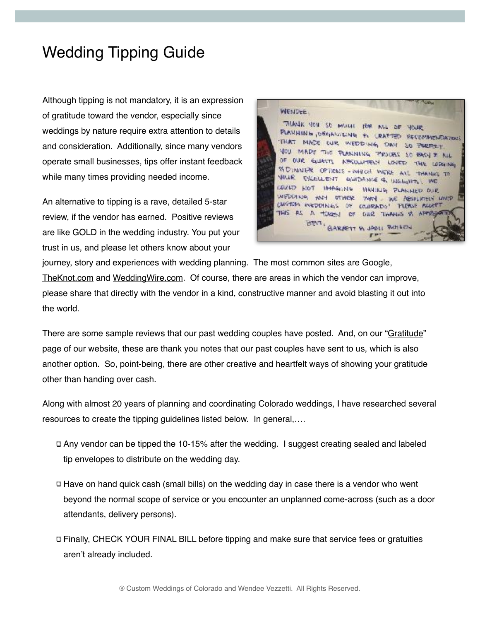## Wedding Tipping Guide

Although tipping is not mandatory, it is an expression of gratitude toward the vendor, especially since weddings by nature require extra attention to details and consideration. Additionally, since many vendors operate small businesses, tips offer instant feedback while many times providing needed income.

An alternative to tipping is a rave, detailed 5-star review, if the vendor has earned. Positive reviews are like GOLD in the wedding industry. You put your trust in us, and please let others know about your



journey, story and experiences with wedding planning. The most common sites are Google, [TheKnot.com](http://TheKnot.com) and [WeddingWire.com.](http://WeddingWire.com) Of course, there are areas in which the vendor can improve, please share that directly with the vendor in a kind, constructive manner and avoid blasting it out into the world.

There are some sample reviews that our past wedding couples have posted. And, on our "[Gratitude](https://www.customweddingsofcolorado.com/reviews.html)" page of our website, these are thank you notes that our past couples have sent to us, which is also another option. So, point-being, there are other creative and heartfelt ways of showing your gratitude other than handing over cash.

Along with almost 20 years of planning and coordinating Colorado weddings, I have researched several resources to create the tipping guidelines listed below. In general,….

- Any vendor can be tipped the 10-15% after the wedding. I suggest creating sealed and labeled tip envelopes to distribute on the wedding day.
- Have on hand quick cash (small bills) on the wedding day in case there is a vendor who went beyond the normal scope of service or you encounter an unplanned come-across (such as a door attendants, delivery persons).
- Finally, CHECK YOUR FINAL BILL before tipping and make sure that service fees or gratuities aren't already included.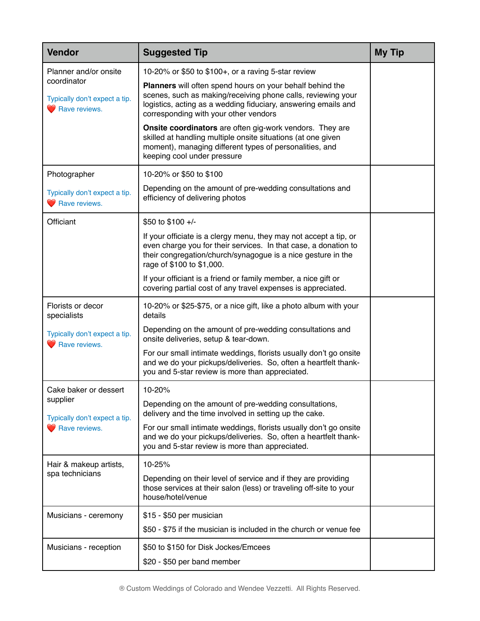| <b>Vendor</b>                                                                          | <b>Suggested Tip</b>                                                                                                                                                                                                                 | <b>My Tip</b> |
|----------------------------------------------------------------------------------------|--------------------------------------------------------------------------------------------------------------------------------------------------------------------------------------------------------------------------------------|---------------|
| Planner and/or onsite<br>coordinator<br>Typically don't expect a tip.<br>Rave reviews. | 10-20% or \$50 to \$100+, or a raving 5-star review                                                                                                                                                                                  |               |
|                                                                                        | Planners will often spend hours on your behalf behind the<br>scenes, such as making/receiving phone calls, reviewing your<br>logistics, acting as a wedding fiduciary, answering emails and<br>corresponding with your other vendors |               |
|                                                                                        | Onsite coordinators are often gig-work vendors. They are<br>skilled at handling multiple onsite situations (at one given<br>moment), managing different types of personalities, and<br>keeping cool under pressure                   |               |
| Photographer                                                                           | 10-20% or \$50 to \$100                                                                                                                                                                                                              |               |
| Typically don't expect a tip.<br>Rave reviews.                                         | Depending on the amount of pre-wedding consultations and<br>efficiency of delivering photos                                                                                                                                          |               |
| Officiant                                                                              | \$50 to \$100 +/-                                                                                                                                                                                                                    |               |
|                                                                                        | If your officiate is a clergy menu, they may not accept a tip, or<br>even charge you for their services. In that case, a donation to<br>their congregation/church/synagogue is a nice gesture in the<br>rage of \$100 to \$1,000.    |               |
|                                                                                        | If your officiant is a friend or family member, a nice gift or<br>covering partial cost of any travel expenses is appreciated.                                                                                                       |               |
| Florists or decor<br>specialists                                                       | 10-20% or \$25-\$75, or a nice gift, like a photo album with your<br>details                                                                                                                                                         |               |
| Typically don't expect a tip.<br>Rave reviews.                                         | Depending on the amount of pre-wedding consultations and<br>onsite deliveries, setup & tear-down.                                                                                                                                    |               |
|                                                                                        | For our small intimate weddings, florists usually don't go onsite<br>and we do your pickups/deliveries. So, often a heartfelt thank-<br>you and 5-star review is more than appreciated.                                              |               |
| Cake baker or dessert<br>supplier<br>Typically don't expect a tip.<br>Rave reviews.    | 10-20%                                                                                                                                                                                                                               |               |
|                                                                                        | Depending on the amount of pre-wedding consultations,<br>delivery and the time involved in setting up the cake.                                                                                                                      |               |
|                                                                                        | For our small intimate weddings, florists usually don't go onsite<br>and we do your pickups/deliveries. So, often a heartfelt thank-<br>you and 5-star review is more than appreciated.                                              |               |
| Hair & makeup artists,<br>spa technicians                                              | 10-25%                                                                                                                                                                                                                               |               |
|                                                                                        | Depending on their level of service and if they are providing<br>those services at their salon (less) or traveling off-site to your<br>house/hotel/venue                                                                             |               |
| Musicians - ceremony                                                                   | \$15 - \$50 per musician                                                                                                                                                                                                             |               |
|                                                                                        | \$50 - \$75 if the musician is included in the church or venue fee                                                                                                                                                                   |               |
| Musicians - reception                                                                  | \$50 to \$150 for Disk Jockes/Emcees                                                                                                                                                                                                 |               |
|                                                                                        | \$20 - \$50 per band member                                                                                                                                                                                                          |               |